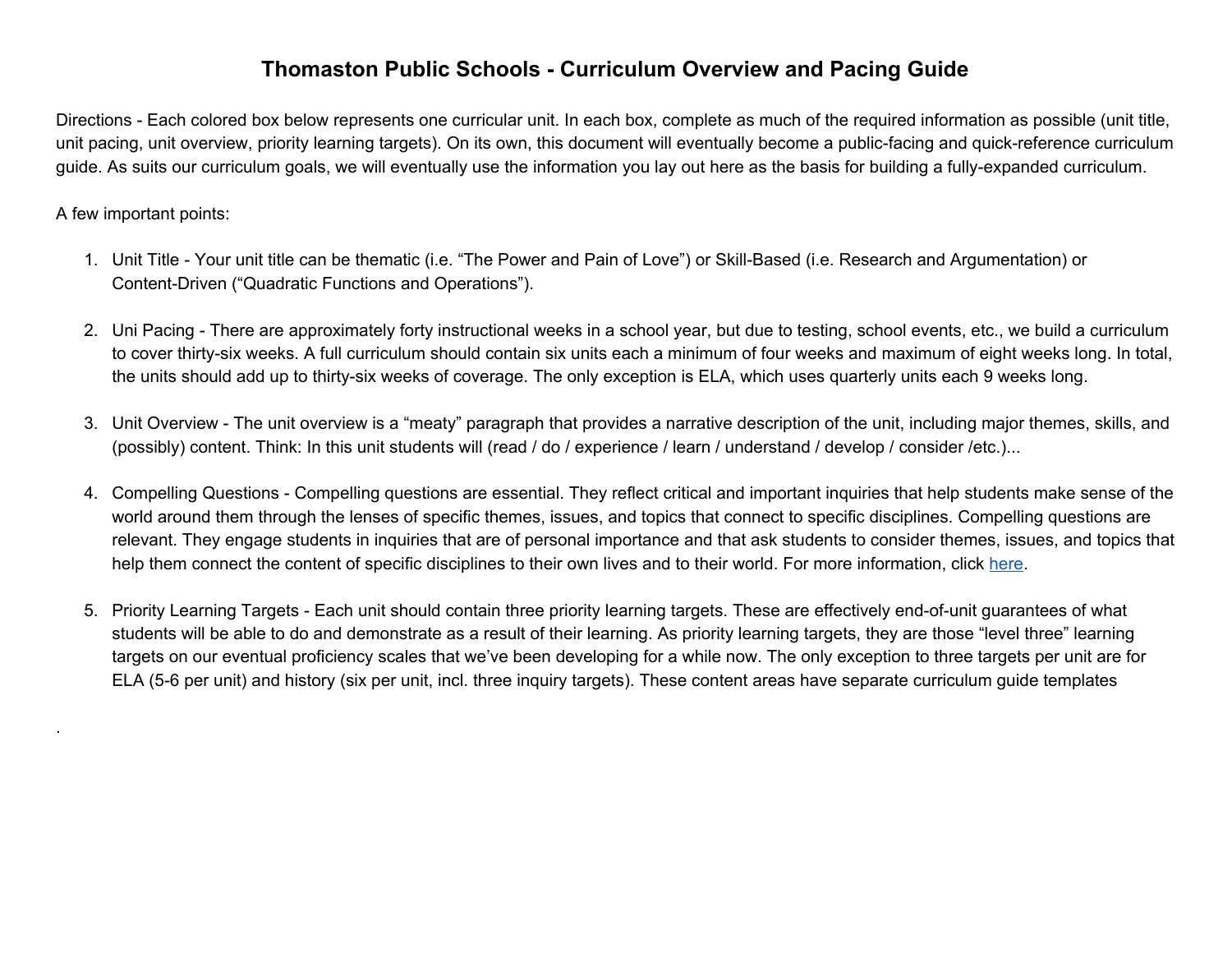## **Thomaston Public Schools - Curriculum Overview and Pacing Guide**

Directions - Each colored box below represents one curricular unit. In each box, complete as much of the required information as possible (unit title, unit pacing, unit overview, priority learning targets). On its own, this document will eventually become a public-facing and quick-reference curriculum guide. As suits our curriculum goals, we will eventually use the information you lay out here as the basis for building a fully-expanded curriculum.

## A few important points:

.

- 1. Unit Title Your unit title can be thematic (i.e. "The Power and Pain of Love") or Skill-Based (i.e. Research and Argumentation) or Content-Driven ("Quadratic Functions and Operations").
- 2. Uni Pacing There are approximately forty instructional weeks in a school year, but due to testing, school events, etc., we build a curriculum to cover thirty-six weeks. A full curriculum should contain six units each a minimum of four weeks and maximum of eight weeks long. In total, the units should add up to thirty-six weeks of coverage. The only exception is ELA, which uses quarterly units each 9 weeks long.
- 3. Unit Overview The unit overview is a "meaty" paragraph that provides a narrative description of the unit, including major themes, skills, and (possibly) content. Think: In this unit students will (read / do / experience / learn / understand / develop / consider /etc.)...
- 4. Compelling Questions Compelling questions are essential. They reflect critical and important inquiries that help students make sense of the world around them through the lenses of specific themes, issues, and topics that connect to specific disciplines. Compelling questions are relevant. They engage students in inquiries that are of personal importance and that ask students to consider themes, issues, and topics that help them connect the content of specific disciplines to their own lives and to their world. For more information, click [here.](https://docs.google.com/presentation/d/1MQeWg7v5tpC5e7Bm5vmcUhD1Q2tV9uzZum4JBNqLyjk/edit?usp=sharing)
- 5. Priority Learning Targets Each unit should contain three priority learning targets. These are effectively end-of-unit guarantees of what students will be able to do and demonstrate as a result of their learning. As priority learning targets, they are those "level three" learning targets on our eventual proficiency scales that we've been developing for a while now. The only exception to three targets per unit are for ELA (5-6 per unit) and history (six per unit, incl. three inquiry targets). These content areas have separate curriculum guide templates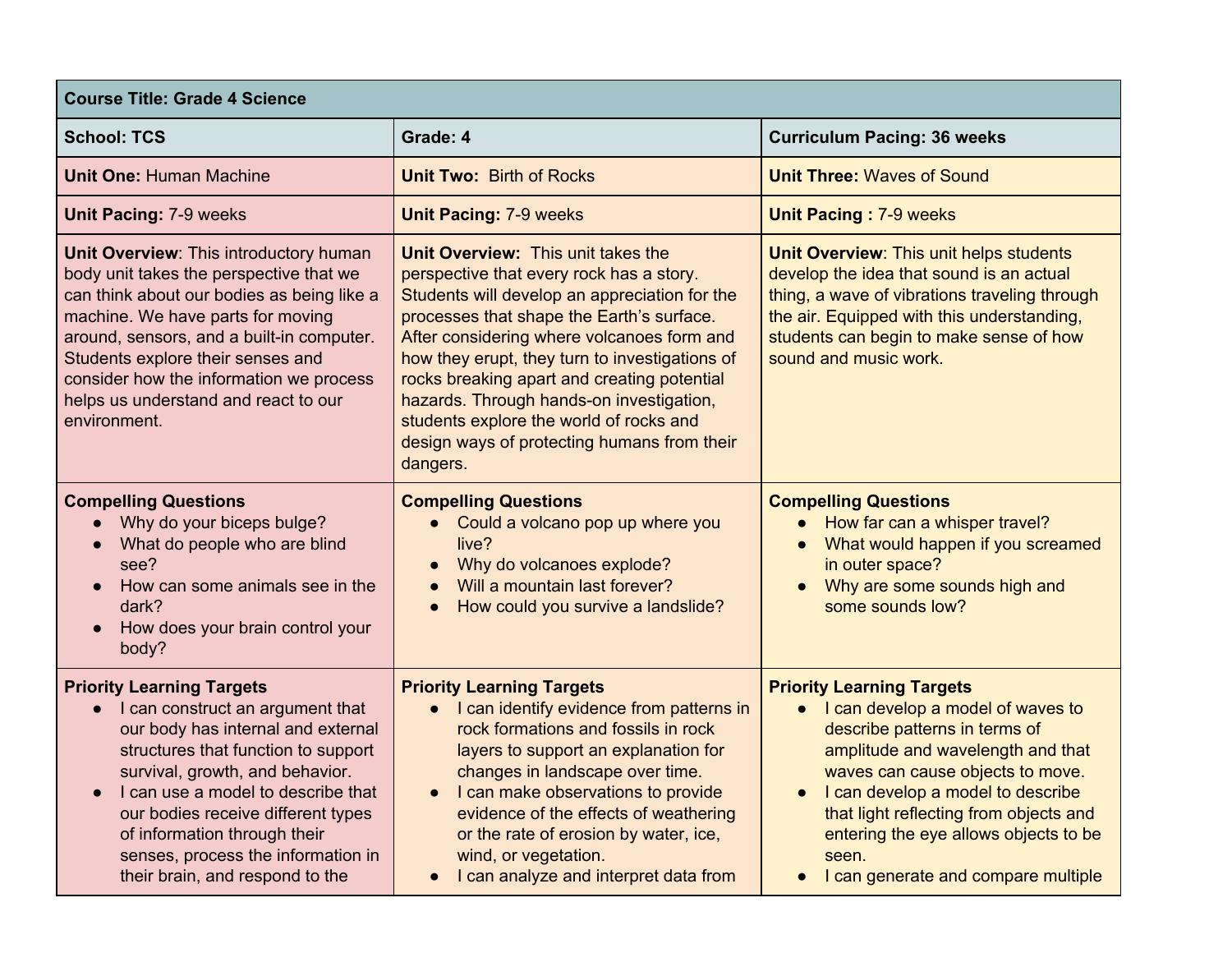| <b>Course Title: Grade 4 Science</b>                                                                                                                                                                                                                                                                                                                                                     |                                                                                                                                                                                                                                                                                                                                                                                                                                                                               |                                                                                                                                                                                                                                                                                                                                                                        |
|------------------------------------------------------------------------------------------------------------------------------------------------------------------------------------------------------------------------------------------------------------------------------------------------------------------------------------------------------------------------------------------|-------------------------------------------------------------------------------------------------------------------------------------------------------------------------------------------------------------------------------------------------------------------------------------------------------------------------------------------------------------------------------------------------------------------------------------------------------------------------------|------------------------------------------------------------------------------------------------------------------------------------------------------------------------------------------------------------------------------------------------------------------------------------------------------------------------------------------------------------------------|
| <b>School: TCS</b>                                                                                                                                                                                                                                                                                                                                                                       | Grade: 4                                                                                                                                                                                                                                                                                                                                                                                                                                                                      | <b>Curriculum Pacing: 36 weeks</b>                                                                                                                                                                                                                                                                                                                                     |
| <b>Unit One: Human Machine</b>                                                                                                                                                                                                                                                                                                                                                           | <b>Unit Two: Birth of Rocks</b>                                                                                                                                                                                                                                                                                                                                                                                                                                               | <b>Unit Three: Waves of Sound</b>                                                                                                                                                                                                                                                                                                                                      |
| <b>Unit Pacing: 7-9 weeks</b>                                                                                                                                                                                                                                                                                                                                                            | <b>Unit Pacing: 7-9 weeks</b>                                                                                                                                                                                                                                                                                                                                                                                                                                                 | <b>Unit Pacing: 7-9 weeks</b>                                                                                                                                                                                                                                                                                                                                          |
| Unit Overview: This introductory human<br>body unit takes the perspective that we<br>can think about our bodies as being like a<br>machine. We have parts for moving<br>around, sensors, and a built-in computer.<br>Students explore their senses and<br>consider how the information we process<br>helps us understand and react to our<br>environment.                                | Unit Overview: This unit takes the<br>perspective that every rock has a story.<br>Students will develop an appreciation for the<br>processes that shape the Earth's surface.<br>After considering where volcanoes form and<br>how they erupt, they turn to investigations of<br>rocks breaking apart and creating potential<br>hazards. Through hands-on investigation,<br>students explore the world of rocks and<br>design ways of protecting humans from their<br>dangers. | Unit Overview: This unit helps students<br>develop the idea that sound is an actual<br>thing, a wave of vibrations traveling through<br>the air. Equipped with this understanding,<br>students can begin to make sense of how<br>sound and music work.                                                                                                                 |
| <b>Compelling Questions</b><br>Why do your biceps bulge?<br>$\bullet$<br>What do people who are blind<br>$\bullet$<br>see?<br>How can some animals see in the<br>$\bullet$<br>dark?<br>How does your brain control your<br>body?                                                                                                                                                         | <b>Compelling Questions</b><br>• Could a volcano pop up where you<br>live?<br>Why do volcanoes explode?<br>$\bullet$<br>Will a mountain last forever?<br>How could you survive a landslide?<br>$\bullet$                                                                                                                                                                                                                                                                      | <b>Compelling Questions</b><br>• How far can a whisper travel?<br>What would happen if you screamed<br>in outer space?<br>Why are some sounds high and<br>some sounds low?                                                                                                                                                                                             |
| <b>Priority Learning Targets</b><br>• I can construct an argument that<br>our body has internal and external<br>structures that function to support<br>survival, growth, and behavior.<br>I can use a model to describe that<br>$\bullet$<br>our bodies receive different types<br>of information through their<br>senses, process the information in<br>their brain, and respond to the | <b>Priority Learning Targets</b><br>• I can identify evidence from patterns in<br>rock formations and fossils in rock<br>layers to support an explanation for<br>changes in landscape over time.<br>I can make observations to provide<br>$\bullet$<br>evidence of the effects of weathering<br>or the rate of erosion by water, ice,<br>wind, or vegetation.<br>I can analyze and interpret data from<br>$\bullet$                                                           | <b>Priority Learning Targets</b><br>• I can develop a model of waves to<br>describe patterns in terms of<br>amplitude and wavelength and that<br>waves can cause objects to move.<br>I can develop a model to describe<br>$\bullet$<br>that light reflecting from objects and<br>entering the eye allows objects to be<br>seen.<br>I can generate and compare multiple |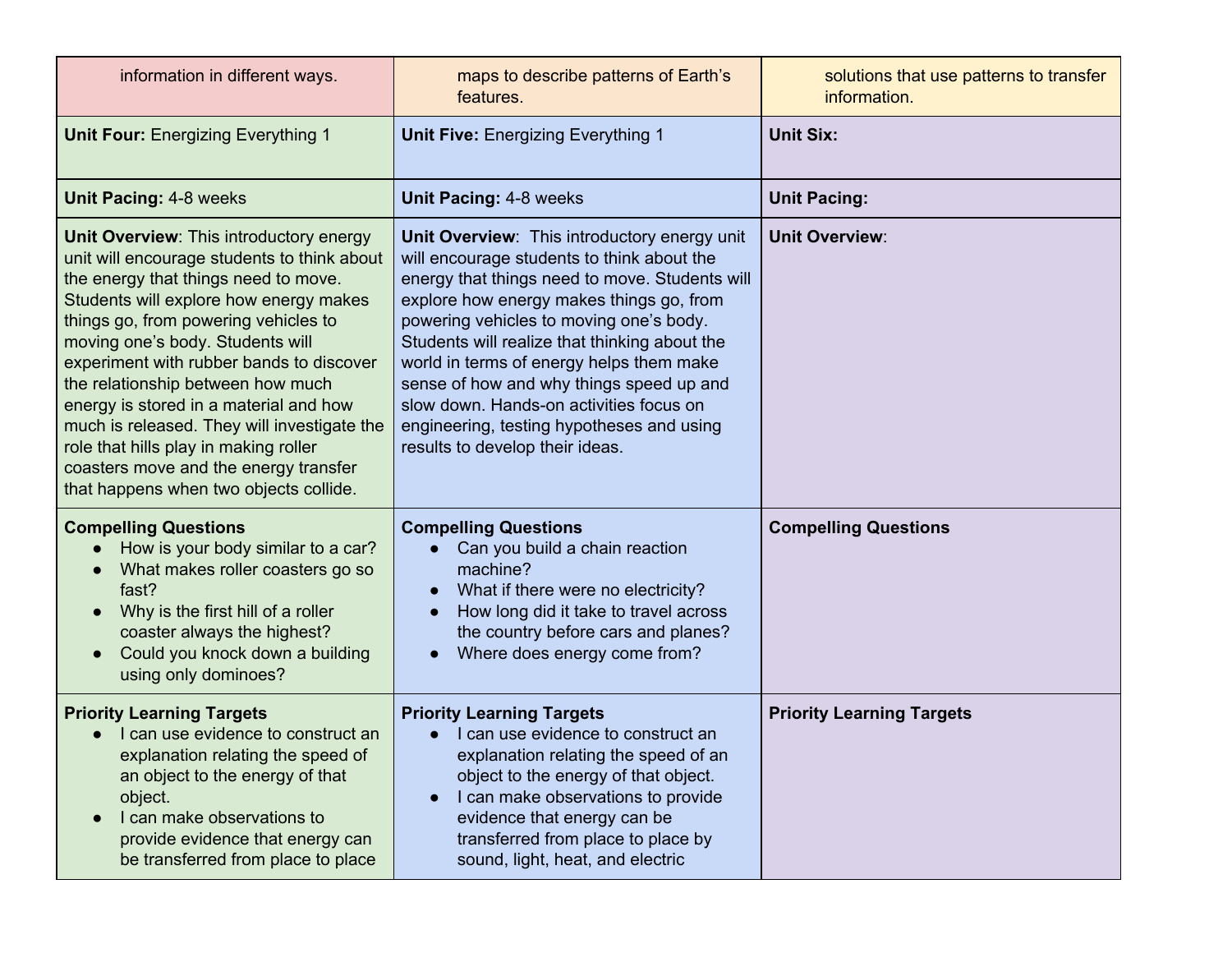| information in different ways.                                                                                                                                                                                                                                                                                                                                                                                                                                                                                                                             | maps to describe patterns of Earth's<br>features.                                                                                                                                                                                                                                                                                                                                                                                                                                                       | solutions that use patterns to transfer<br>information. |
|------------------------------------------------------------------------------------------------------------------------------------------------------------------------------------------------------------------------------------------------------------------------------------------------------------------------------------------------------------------------------------------------------------------------------------------------------------------------------------------------------------------------------------------------------------|---------------------------------------------------------------------------------------------------------------------------------------------------------------------------------------------------------------------------------------------------------------------------------------------------------------------------------------------------------------------------------------------------------------------------------------------------------------------------------------------------------|---------------------------------------------------------|
| <b>Unit Four: Energizing Everything 1</b>                                                                                                                                                                                                                                                                                                                                                                                                                                                                                                                  | <b>Unit Five: Energizing Everything 1</b>                                                                                                                                                                                                                                                                                                                                                                                                                                                               | <b>Unit Six:</b>                                        |
| <b>Unit Pacing: 4-8 weeks</b>                                                                                                                                                                                                                                                                                                                                                                                                                                                                                                                              | Unit Pacing: 4-8 weeks                                                                                                                                                                                                                                                                                                                                                                                                                                                                                  | <b>Unit Pacing:</b>                                     |
| Unit Overview: This introductory energy<br>unit will encourage students to think about<br>the energy that things need to move.<br>Students will explore how energy makes<br>things go, from powering vehicles to<br>moving one's body. Students will<br>experiment with rubber bands to discover<br>the relationship between how much<br>energy is stored in a material and how<br>much is released. They will investigate the<br>role that hills play in making roller<br>coasters move and the energy transfer<br>that happens when two objects collide. | Unit Overview: This introductory energy unit<br>will encourage students to think about the<br>energy that things need to move. Students will<br>explore how energy makes things go, from<br>powering vehicles to moving one's body.<br>Students will realize that thinking about the<br>world in terms of energy helps them make<br>sense of how and why things speed up and<br>slow down. Hands-on activities focus on<br>engineering, testing hypotheses and using<br>results to develop their ideas. | <b>Unit Overview:</b>                                   |
| <b>Compelling Questions</b><br>How is your body similar to a car?<br>What makes roller coasters go so<br>fast?<br>Why is the first hill of a roller<br>coaster always the highest?<br>Could you knock down a building<br>using only dominoes?                                                                                                                                                                                                                                                                                                              | <b>Compelling Questions</b><br>Can you build a chain reaction<br>machine?<br>What if there were no electricity?<br>$\bullet$<br>How long did it take to travel across<br>the country before cars and planes?<br>Where does energy come from?                                                                                                                                                                                                                                                            | <b>Compelling Questions</b>                             |
| <b>Priority Learning Targets</b><br>I can use evidence to construct an<br>explanation relating the speed of<br>an object to the energy of that<br>object.<br>I can make observations to<br>provide evidence that energy can<br>be transferred from place to place                                                                                                                                                                                                                                                                                          | <b>Priority Learning Targets</b><br>I can use evidence to construct an<br>explanation relating the speed of an<br>object to the energy of that object.<br>I can make observations to provide<br>$\bullet$<br>evidence that energy can be<br>transferred from place to place by<br>sound, light, heat, and electric                                                                                                                                                                                      | <b>Priority Learning Targets</b>                        |